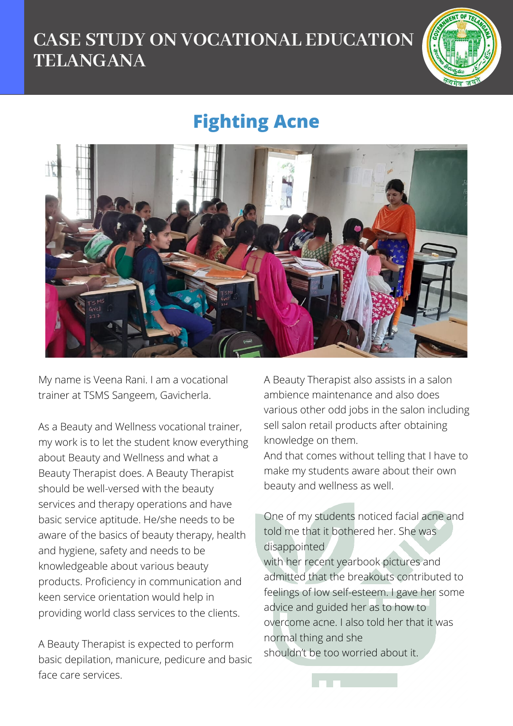## **CASE STUDY ON VOCATIONAL EDUCATION TELANGANA**



## **Fighting Acne**



My name is Veena Rani. I am a vocational trainer at TSMS Sangeem, Gavicherla.

As a Beauty and Wellness vocational trainer, my work is to let the student know everything about Beauty and Wellness and what a Beauty Therapist does. A Beauty Therapist should be well-versed with the beauty services and therapy operations and have basic service aptitude. He/she needs to be aware of the basics of beauty therapy, health and hygiene, safety and needs to be knowledgeable about various beauty products. Proficiency in communication and keen service orientation would help in providing world class services to the clients.

A Beauty Therapist is expected to perform basic depilation, manicure, pedicure and basic face care services.

A Beauty Therapist also assists in a salon ambience maintenance and also does various other odd jobs in the salon including sell salon retail products after obtaining knowledge on them.

And that comes without telling that I have to make my students aware about their own beauty and wellness as well.

One of my students noticed facial acne and told me that it bothered her. She was disappointed

with her recent yearbook pictures and admitted that the breakouts contributed to feelings of low self-esteem. I gave her some advice and guided her as to how to overcome acne. I also told her that it was normal thing and she shouldn't be too worried about it.